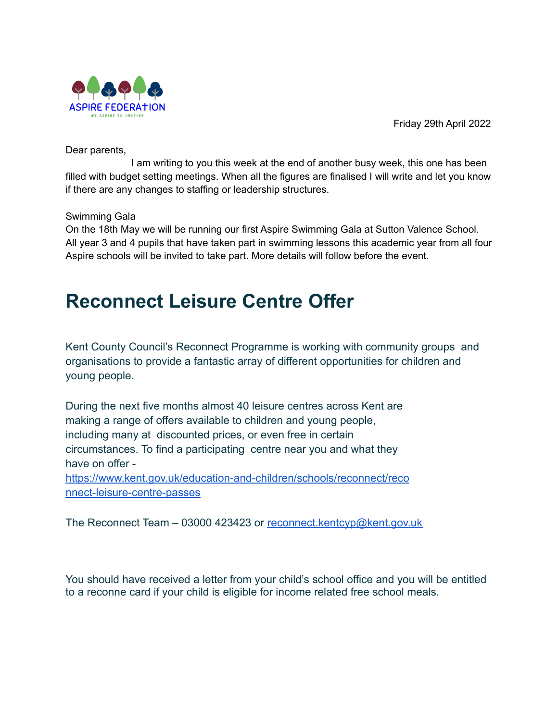



Dear parents,

I am writing to you this week at the end of another busy week, this one has been filled with budget setting meetings. When all the figures are finalised I will write and let you know if there are any changes to staffing or leadership structures.

# Swimming Gala

On the 18th May we will be running our first Aspire Swimming Gala at Sutton Valence School. All year 3 and 4 pupils that have taken part in swimming lessons this academic year from all four Aspire schools will be invited to take part. More details will follow before the event.

# **Reconnect Leisure Centre Offer**

Kent County Council's Reconnect Programme is working with community groups and organisations to provide a fantastic array of different opportunities for children and young people.

During the next five months almost 40 leisure centres across Kent are making a range of offers available to children and young people, including many at discounted prices, or even free in certain circumstances. To find a participating centre near you and what they have on offer [https://www.kent.gov.uk/education-and-children/schools/reconnect/reco](https://www.kent.gov.uk/education-and-children/schools/reconnect/reconnect-leisure-centre-passes) [nnect-leisure-centre-passes](https://www.kent.gov.uk/education-and-children/schools/reconnect/reconnect-leisure-centre-passes)

The Reconnect Team – 03000 423423 or [reconnect.kentcyp@kent.gov.uk](mailto:reconnect.kentcyp@kent.gov.uk)

You should have received a letter from your child's school office and you will be entitled to a reconne card if your child is eligible for income related free school meals.